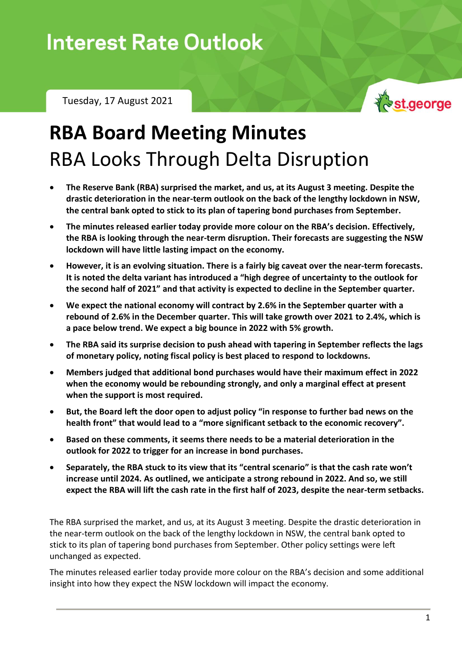Tuesday, 17 August 2021



# **RBA Board Meeting Minutes** RBA Looks Through Delta Disruption

- **The Reserve Bank (RBA) surprised the market, and us, at its August 3 meeting. Despite the drastic deterioration in the near-term outlook on the back of the lengthy lockdown in NSW, the central bank opted to stick to its plan of tapering bond purchases from September.**
- **The minutes released earlier today provide more colour on the RBA's decision. Effectively, the RBA is looking through the near-term disruption. Their forecasts are suggesting the NSW lockdown will have little lasting impact on the economy.**
- **However, it is an evolving situation. There is a fairly big caveat over the near-term forecasts. It is noted the delta variant has introduced a "high degree of uncertainty to the outlook for the second half of 2021" and that activity is expected to decline in the September quarter.**
- **We expect the national economy will contract by 2.6% in the September quarter with a rebound of 2.6% in the December quarter. This will take growth over 2021 to 2.4%, which is a pace below trend. We expect a big bounce in 2022 with 5% growth.**
- **The RBA said its surprise decision to push ahead with tapering in September reflects the lags of monetary policy, noting fiscal policy is best placed to respond to lockdowns.**
- **Members judged that additional bond purchases would have their maximum effect in 2022 when the economy would be rebounding strongly, and only a marginal effect at present when the support is most required.**
- **But, the Board left the door open to adjust policy "in response to further bad news on the health front" that would lead to a "more significant setback to the economic recovery".**
- **Based on these comments, it seems there needs to be a material deterioration in the outlook for 2022 to trigger for an increase in bond purchases.**
- **Separately, the RBA stuck to its view that its "central scenario" is that the cash rate won't increase until 2024. As outlined, we anticipate a strong rebound in 2022. And so, we still expect the RBA will lift the cash rate in the first half of 2023, despite the near-term setbacks.**

The RBA surprised the market, and us, at its August 3 meeting. Despite the drastic deterioration in the near-term outlook on the back of the lengthy lockdown in NSW, the central bank opted to stick to its plan of tapering bond purchases from September. Other policy settings were left unchanged as expected.

The minutes released earlier today provide more colour on the RBA's decision and some additional insight into how they expect the NSW lockdown will impact the economy.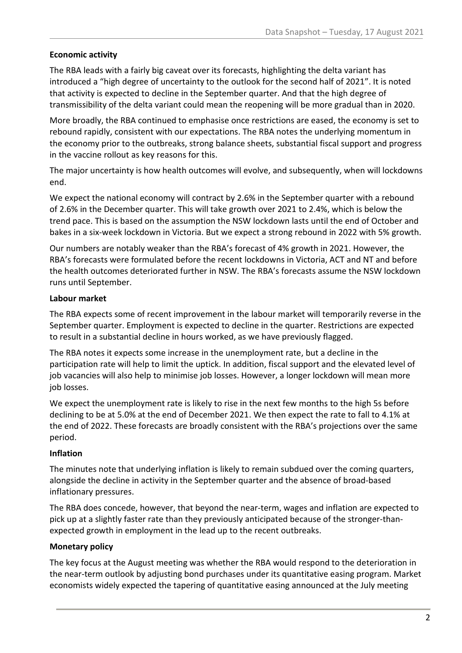#### **Economic activity**

The RBA leads with a fairly big caveat over its forecasts, highlighting the delta variant has introduced a "high degree of uncertainty to the outlook for the second half of 2021". It is noted that activity is expected to decline in the September quarter. And that the high degree of transmissibility of the delta variant could mean the reopening will be more gradual than in 2020.

More broadly, the RBA continued to emphasise once restrictions are eased, the economy is set to rebound rapidly, consistent with our expectations. The RBA notes the underlying momentum in the economy prior to the outbreaks, strong balance sheets, substantial fiscal support and progress in the vaccine rollout as key reasons for this.

The major uncertainty is how health outcomes will evolve, and subsequently, when will lockdowns end.

We expect the national economy will contract by 2.6% in the September quarter with a rebound of 2.6% in the December quarter. This will take growth over 2021 to 2.4%, which is below the trend pace. This is based on the assumption the NSW lockdown lasts until the end of October and bakes in a six-week lockdown in Victoria. But we expect a strong rebound in 2022 with 5% growth.

Our numbers are notably weaker than the RBA's forecast of 4% growth in 2021. However, the RBA's forecasts were formulated before the recent lockdowns in Victoria, ACT and NT and before the health outcomes deteriorated further in NSW. The RBA's forecasts assume the NSW lockdown runs until September.

#### **Labour market**

The RBA expects some of recent improvement in the labour market will temporarily reverse in the September quarter. Employment is expected to decline in the quarter. Restrictions are expected to result in a substantial decline in hours worked, as we have previously flagged.

The RBA notes it expects some increase in the unemployment rate, but a decline in the participation rate will help to limit the uptick. In addition, fiscal support and the elevated level of job vacancies will also help to minimise job losses. However, a longer lockdown will mean more job losses.

We expect the unemployment rate is likely to rise in the next few months to the high 5s before declining to be at 5.0% at the end of December 2021. We then expect the rate to fall to 4.1% at the end of 2022. These forecasts are broadly consistent with the RBA's projections over the same period.

### **Inflation**

The minutes note that underlying inflation is likely to remain subdued over the coming quarters, alongside the decline in activity in the September quarter and the absence of broad-based inflationary pressures.

The RBA does concede, however, that beyond the near-term, wages and inflation are expected to pick up at a slightly faster rate than they previously anticipated because of the stronger-thanexpected growth in employment in the lead up to the recent outbreaks.

#### **Monetary policy**

The key focus at the August meeting was whether the RBA would respond to the deterioration in the near-term outlook by adjusting bond purchases under its quantitative easing program. Market economists widely expected the tapering of quantitative easing announced at the July meeting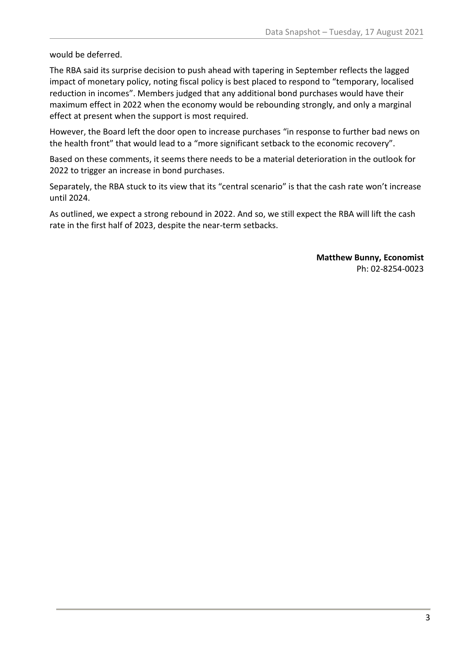would be deferred.

The RBA said its surprise decision to push ahead with tapering in September reflects the lagged impact of monetary policy, noting fiscal policy is best placed to respond to "temporary, localised reduction in incomes". Members judged that any additional bond purchases would have their maximum effect in 2022 when the economy would be rebounding strongly, and only a marginal effect at present when the support is most required.

However, the Board left the door open to increase purchases "in response to further bad news on the health front" that would lead to a "more significant setback to the economic recovery".

Based on these comments, it seems there needs to be a material deterioration in the outlook for 2022 to trigger an increase in bond purchases.

Separately, the RBA stuck to its view that its "central scenario" is that the cash rate won't increase until 2024.

As outlined, we expect a strong rebound in 2022. And so, we still expect the RBA will lift the cash rate in the first half of 2023, despite the near-term setbacks.

> **Matthew Bunny, Economist** Ph: 02-8254-0023